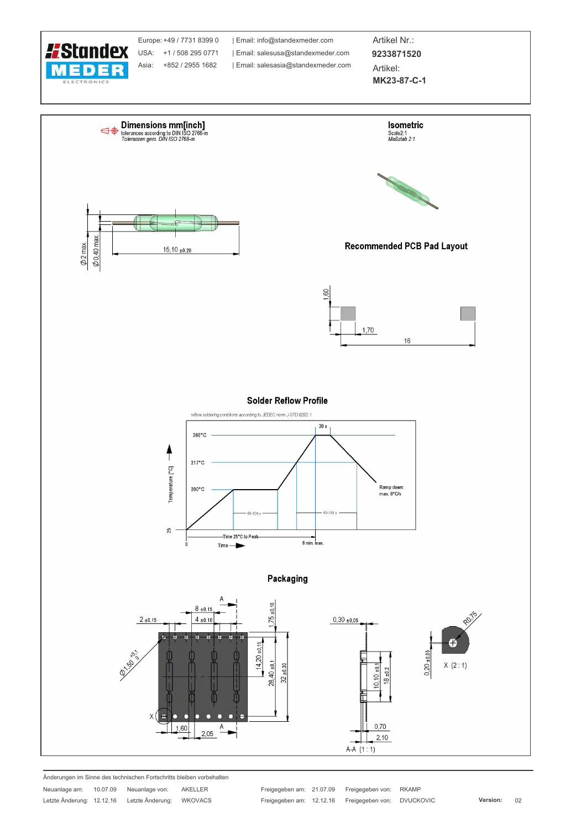

Änderungen im Sinne des technischen Fortschritts bleiben vorbehalten